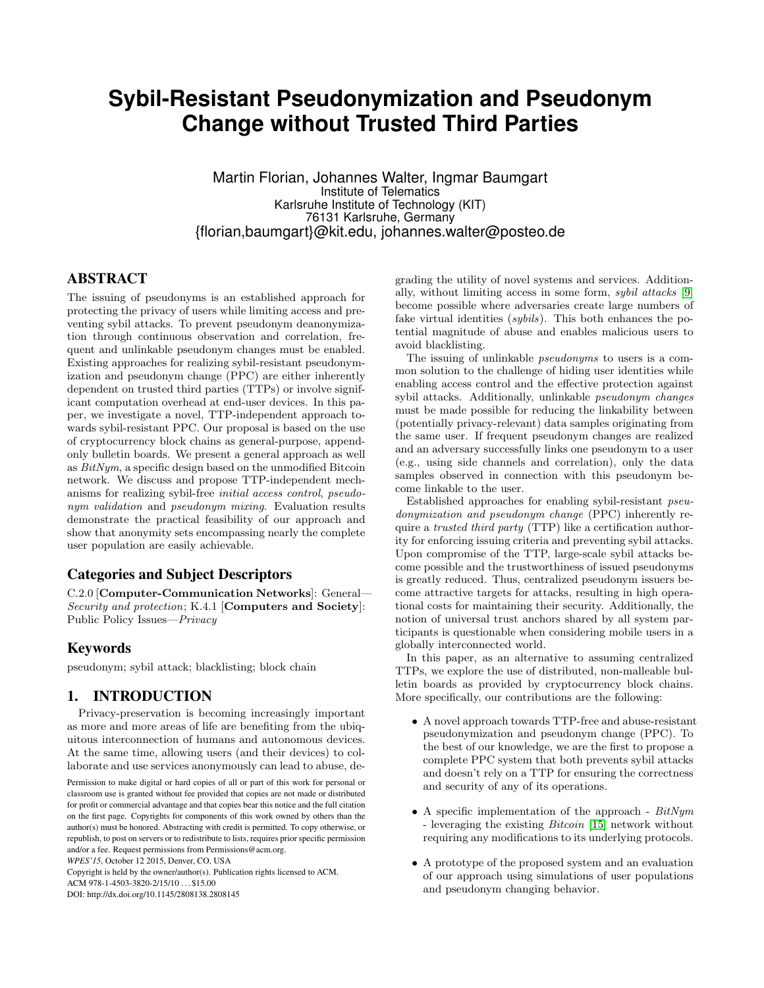# **Sybil-Resistant Pseudonymization and Pseudonym Change without Trusted Third Parties**

Martin Florian, Johannes Walter, Ingmar Baumgart Institute of Telematics Karlsruhe Institute of Technology (KIT) 76131 Karlsruhe, Germany {florian,baumgart}@kit.edu, johannes.walter@posteo.de

# ABSTRACT

The issuing of pseudonyms is an established approach for protecting the privacy of users while limiting access and preventing sybil attacks. To prevent pseudonym deanonymization through continuous observation and correlation, frequent and unlinkable pseudonym changes must be enabled. Existing approaches for realizing sybil-resistant pseudonymization and pseudonym change (PPC) are either inherently dependent on trusted third parties (TTPs) or involve significant computation overhead at end-user devices. In this paper, we investigate a novel, TTP-independent approach towards sybil-resistant PPC. Our proposal is based on the use of cryptocurrency block chains as general-purpose, appendonly bulletin boards. We present a general approach as well as BitNym, a specific design based on the unmodified Bitcoin network. We discuss and propose TTP-independent mechanisms for realizing sybil-free initial access control, pseudonym validation and pseudonym mixing. Evaluation results demonstrate the practical feasibility of our approach and show that anonymity sets encompassing nearly the complete user population are easily achievable.

# Categories and Subject Descriptors

C.2.0 [Computer-Communication Networks]: General— Security and protection; K.4.1 [Computers and Society]: Public Policy Issues—Privacy

# Keywords

pseudonym; sybil attack; blacklisting; block chain

# 1. INTRODUCTION

Privacy-preservation is becoming increasingly important as more and more areas of life are benefiting from the ubiquitous interconnection of humans and autonomous devices. At the same time, allowing users (and their devices) to collaborate and use services anonymously can lead to abuse, de-

Copyright is held by the owner/author(s). Publication rights licensed to ACM.

ACM 978-1-4503-3820-2/15/10 . . . \$15.00 DOI: http://dx.doi.org/10.1145/2808138.2808145 grading the utility of novel systems and services. Additionally, without limiting access in some form, sybil attacks [\[9\]](#page-9-0) become possible where adversaries create large numbers of fake virtual identities (*sybils*). This both enhances the potential magnitude of abuse and enables malicious users to avoid blacklisting.

The issuing of unlinkable pseudonyms to users is a common solution to the challenge of hiding user identities while enabling access control and the effective protection against sybil attacks. Additionally, unlinkable pseudonym changes must be made possible for reducing the linkability between (potentially privacy-relevant) data samples originating from the same user. If frequent pseudonym changes are realized and an adversary successfully links one pseudonym to a user (e.g., using side channels and correlation), only the data samples observed in connection with this pseudonym become linkable to the user.

Established approaches for enabling sybil-resistant pseudonymization and pseudonym change (PPC) inherently require a trusted third party (TTP) like a certification authority for enforcing issuing criteria and preventing sybil attacks. Upon compromise of the TTP, large-scale sybil attacks become possible and the trustworthiness of issued pseudonyms is greatly reduced. Thus, centralized pseudonym issuers become attractive targets for attacks, resulting in high operational costs for maintaining their security. Additionally, the notion of universal trust anchors shared by all system participants is questionable when considering mobile users in a globally interconnected world.

In this paper, as an alternative to assuming centralized TTPs, we explore the use of distributed, non-malleable bulletin boards as provided by cryptocurrency block chains. More specifically, our contributions are the following:

- A novel approach towards TTP-free and abuse-resistant pseudonymization and pseudonym change (PPC). To the best of our knowledge, we are the first to propose a complete PPC system that both prevents sybil attacks and doesn't rely on a TTP for ensuring the correctness and security of any of its operations.
- A specific implementation of the approach  $BitNum$ - leveraging the existing *Bitcoin* [\[15\]](#page-9-1) network without requiring any modifications to its underlying protocols.
- A prototype of the proposed system and an evaluation of our approach using simulations of user populations and pseudonym changing behavior.

Permission to make digital or hard copies of all or part of this work for personal or classroom use is granted without fee provided that copies are not made or distributed for profit or commercial advantage and that copies bear this notice and the full citation on the first page. Copyrights for components of this work owned by others than the author(s) must be honored. Abstracting with credit is permitted. To copy otherwise, or republish, to post on servers or to redistribute to lists, requires prior specific permission and/or a fee. Request permissions from Permissions@acm.org.

*WPES'15*, October 12 2015, Denver, CO, USA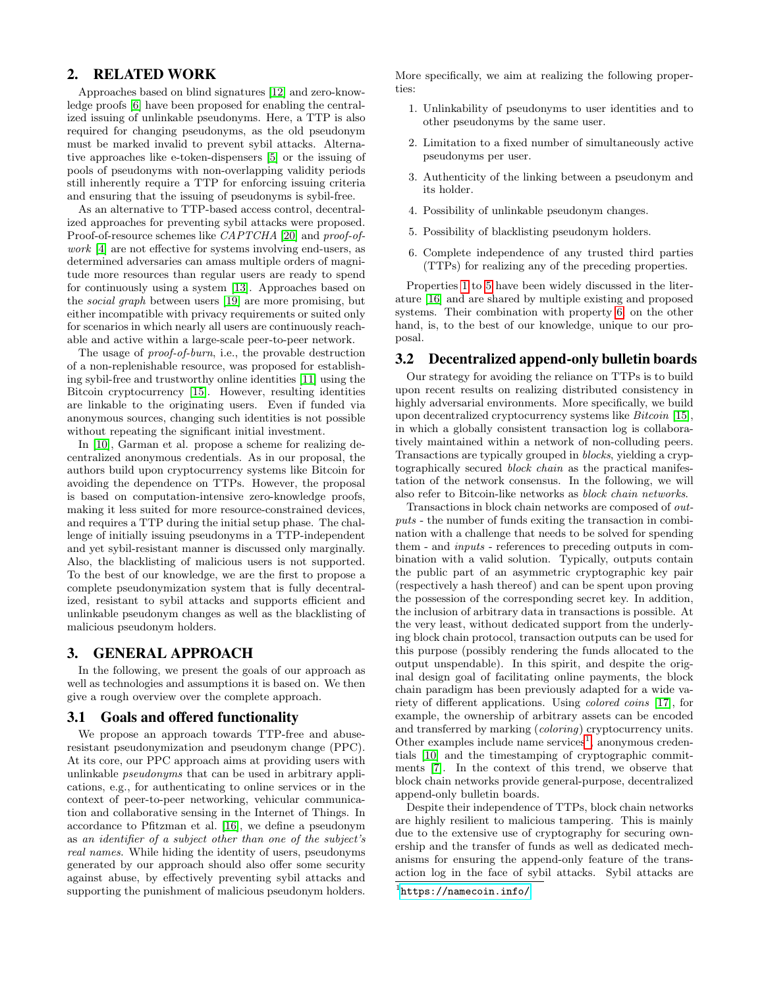# 2. RELATED WORK

Approaches based on blind signatures [\[12\]](#page-9-2) and zero-knowledge proofs [\[6\]](#page-9-3) have been proposed for enabling the centralized issuing of unlinkable pseudonyms. Here, a TTP is also required for changing pseudonyms, as the old pseudonym must be marked invalid to prevent sybil attacks. Alternative approaches like e-token-dispensers [\[5\]](#page-9-4) or the issuing of pools of pseudonyms with non-overlapping validity periods still inherently require a TTP for enforcing issuing criteria and ensuring that the issuing of pseudonyms is sybil-free.

As an alternative to TTP-based access control, decentralized approaches for preventing sybil attacks were proposed. Proof-of-resource schemes like *CAPTCHA* [\[20\]](#page-9-5) and *proof-of*work [\[4\]](#page-9-6) are not effective for systems involving end-users, as determined adversaries can amass multiple orders of magnitude more resources than regular users are ready to spend for continuously using a system [\[13\]](#page-9-7). Approaches based on the social graph between users [\[19\]](#page-9-8) are more promising, but either incompatible with privacy requirements or suited only for scenarios in which nearly all users are continuously reachable and active within a large-scale peer-to-peer network.

The usage of proof-of-burn, i.e., the provable destruction of a non-replenishable resource, was proposed for establishing sybil-free and trustworthy online identities [\[11\]](#page-9-9) using the Bitcoin cryptocurrency [\[15\]](#page-9-1). However, resulting identities are linkable to the originating users. Even if funded via anonymous sources, changing such identities is not possible without repeating the significant initial investment.

In [\[10\]](#page-9-10), Garman et al. propose a scheme for realizing decentralized anonymous credentials. As in our proposal, the authors build upon cryptocurrency systems like Bitcoin for avoiding the dependence on TTPs. However, the proposal is based on computation-intensive zero-knowledge proofs, making it less suited for more resource-constrained devices, and requires a TTP during the initial setup phase. The challenge of initially issuing pseudonyms in a TTP-independent and yet sybil-resistant manner is discussed only marginally. Also, the blacklisting of malicious users is not supported. To the best of our knowledge, we are the first to propose a complete pseudonymization system that is fully decentralized, resistant to sybil attacks and supports efficient and unlinkable pseudonym changes as well as the blacklisting of malicious pseudonym holders.

# 3. GENERAL APPROACH

In the following, we present the goals of our approach as well as technologies and assumptions it is based on. We then give a rough overview over the complete approach.

### <span id="page-1-4"></span>3.1 Goals and offered functionality

We propose an approach towards TTP-free and abuseresistant pseudonymization and pseudonym change (PPC). At its core, our PPC approach aims at providing users with unlinkable pseudonyms that can be used in arbitrary applications, e.g., for authenticating to online services or in the context of peer-to-peer networking, vehicular communication and collaborative sensing in the Internet of Things. In accordance to Pfitzman et al. [\[16\]](#page-9-11), we define a pseudonym as an identifier of a subject other than one of the subject's real names. While hiding the identity of users, pseudonyms generated by our approach should also offer some security against abuse, by effectively preventing sybil attacks and supporting the punishment of malicious pseudonym holders.

More specifically, we aim at realizing the following properties:

- <span id="page-1-0"></span>1. Unlinkability of pseudonyms to user identities and to other pseudonyms by the same user.
- <span id="page-1-5"></span>2. Limitation to a fixed number of simultaneously active pseudonyms per user.
- <span id="page-1-6"></span>3. Authenticity of the linking between a pseudonym and its holder.
- <span id="page-1-7"></span>4. Possibility of unlinkable pseudonym changes.
- <span id="page-1-1"></span>5. Possibility of blacklisting pseudonym holders.
- <span id="page-1-2"></span>6. Complete independence of any trusted third parties (TTPs) for realizing any of the preceding properties.

Properties [1](#page-1-0) to [5](#page-1-1) have been widely discussed in the literature [\[16\]](#page-9-11) and are shared by multiple existing and proposed systems. Their combination with property [6,](#page-1-2) on the other hand, is, to the best of our knowledge, unique to our proposal.

# <span id="page-1-8"></span>3.2 Decentralized append-only bulletin boards

Our strategy for avoiding the reliance on TTPs is to build upon recent results on realizing distributed consistency in highly adversarial environments. More specifically, we build upon decentralized cryptocurrency systems like Bitcoin [\[15\]](#page-9-1), in which a globally consistent transaction log is collaboratively maintained within a network of non-colluding peers. Transactions are typically grouped in blocks, yielding a cryptographically secured block chain as the practical manifestation of the network consensus. In the following, we will also refer to Bitcoin-like networks as block chain networks.

Transactions in block chain networks are composed of outputs - the number of funds exiting the transaction in combination with a challenge that needs to be solved for spending them - and inputs - references to preceding outputs in combination with a valid solution. Typically, outputs contain the public part of an asymmetric cryptographic key pair (respectively a hash thereof) and can be spent upon proving the possession of the corresponding secret key. In addition, the inclusion of arbitrary data in transactions is possible. At the very least, without dedicated support from the underlying block chain protocol, transaction outputs can be used for this purpose (possibly rendering the funds allocated to the output unspendable). In this spirit, and despite the original design goal of facilitating online payments, the block chain paradigm has been previously adapted for a wide variety of different applications. Using colored coins [\[17\]](#page-9-12), for example, the ownership of arbitrary assets can be encoded and transferred by marking (coloring) cryptocurrency units. Other examples include name services<sup>[1](#page-1-3)</sup>, anonymous credentials [\[10\]](#page-9-10) and the timestamping of cryptographic commitments [\[7\]](#page-9-13). In the context of this trend, we observe that block chain networks provide general-purpose, decentralized append-only bulletin boards.

Despite their independence of TTPs, block chain networks are highly resilient to malicious tampering. This is mainly due to the extensive use of cryptography for securing ownership and the transfer of funds as well as dedicated mechanisms for ensuring the append-only feature of the transaction log in the face of sybil attacks. Sybil attacks are

<span id="page-1-3"></span><sup>1</sup> <https://namecoin.info/>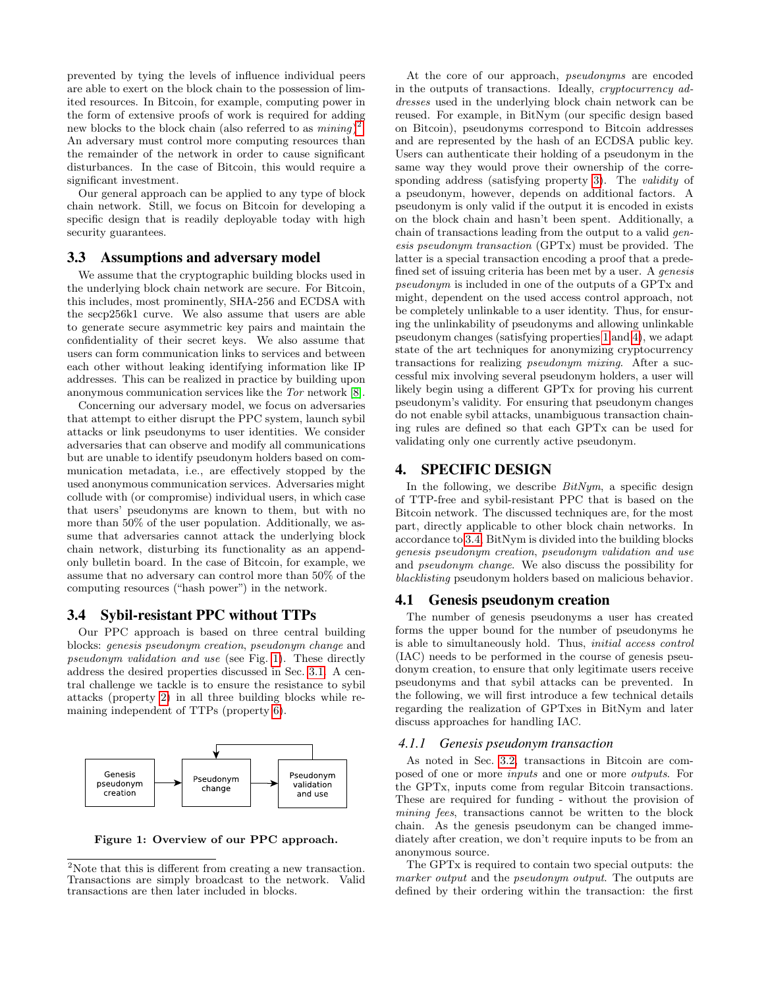prevented by tying the levels of influence individual peers are able to exert on the block chain to the possession of limited resources. In Bitcoin, for example, computing power in the form of extensive proofs of work is required for adding new blocks to the block chain (also referred to as  $mining$ )<sup>[2](#page-2-0)</sup>. An adversary must control more computing resources than the remainder of the network in order to cause significant disturbances. In the case of Bitcoin, this would require a significant investment.

Our general approach can be applied to any type of block chain network. Still, we focus on Bitcoin for developing a specific design that is readily deployable today with high security guarantees.

# 3.3 Assumptions and adversary model

We assume that the cryptographic building blocks used in the underlying block chain network are secure. For Bitcoin, this includes, most prominently, SHA-256 and ECDSA with the secp256k1 curve. We also assume that users are able to generate secure asymmetric key pairs and maintain the confidentiality of their secret keys. We also assume that users can form communication links to services and between each other without leaking identifying information like IP addresses. This can be realized in practice by building upon anonymous communication services like the Tor network [\[8\]](#page-9-14).

Concerning our adversary model, we focus on adversaries that attempt to either disrupt the PPC system, launch sybil attacks or link pseudonyms to user identities. We consider adversaries that can observe and modify all communications but are unable to identify pseudonym holders based on communication metadata, i.e., are effectively stopped by the used anonymous communication services. Adversaries might collude with (or compromise) individual users, in which case that users' pseudonyms are known to them, but with no more than 50% of the user population. Additionally, we assume that adversaries cannot attack the underlying block chain network, disturbing its functionality as an appendonly bulletin board. In the case of Bitcoin, for example, we assume that no adversary can control more than 50% of the computing resources ("hash power") in the network.

# <span id="page-2-2"></span>3.4 Sybil-resistant PPC without TTPs

Our PPC approach is based on three central building blocks: genesis pseudonym creation, pseudonym change and pseudonym validation and use (see Fig. [1\)](#page-2-1). These directly address the desired properties discussed in Sec. [3.1.](#page-1-4) A central challenge we tackle is to ensure the resistance to sybil attacks (property [2\)](#page-1-5) in all three building blocks while remaining independent of TTPs (property [6\)](#page-1-2).



<span id="page-2-1"></span>Figure 1: Overview of our PPC approach.

At the core of our approach, pseudonyms are encoded in the outputs of transactions. Ideally, cryptocurrency addresses used in the underlying block chain network can be reused. For example, in BitNym (our specific design based on Bitcoin), pseudonyms correspond to Bitcoin addresses and are represented by the hash of an ECDSA public key. Users can authenticate their holding of a pseudonym in the same way they would prove their ownership of the corre-sponding address (satisfying property [3\)](#page-1-6). The *validity* of a pseudonym, however, depends on additional factors. A pseudonym is only valid if the output it is encoded in exists on the block chain and hasn't been spent. Additionally, a chain of transactions leading from the output to a valid genesis pseudonym transaction (GPTx) must be provided. The latter is a special transaction encoding a proof that a predefined set of issuing criteria has been met by a user. A genesis pseudonym is included in one of the outputs of a GPTx and might, dependent on the used access control approach, not be completely unlinkable to a user identity. Thus, for ensuring the unlinkability of pseudonyms and allowing unlinkable pseudonym changes (satisfying properties [1](#page-1-0) and [4\)](#page-1-7), we adapt state of the art techniques for anonymizing cryptocurrency transactions for realizing pseudonym mixing. After a successful mix involving several pseudonym holders, a user will likely begin using a different GPTx for proving his current pseudonym's validity. For ensuring that pseudonym changes do not enable sybil attacks, unambiguous transaction chaining rules are defined so that each GPTx can be used for validating only one currently active pseudonym.

# 4. SPECIFIC DESIGN

In the following, we describe  $BitNym$ , a specific design of TTP-free and sybil-resistant PPC that is based on the Bitcoin network. The discussed techniques are, for the most part, directly applicable to other block chain networks. In accordance to [3.4,](#page-2-2) BitNym is divided into the building blocks genesis pseudonym creation, pseudonym validation and use and pseudonym change. We also discuss the possibility for blacklisting pseudonym holders based on malicious behavior.

### 4.1 Genesis pseudonym creation

The number of genesis pseudonyms a user has created forms the upper bound for the number of pseudonyms he is able to simultaneously hold. Thus, initial access control (IAC) needs to be performed in the course of genesis pseudonym creation, to ensure that only legitimate users receive pseudonyms and that sybil attacks can be prevented. In the following, we will first introduce a few technical details regarding the realization of GPTxes in BitNym and later discuss approaches for handling IAC.

# *4.1.1 Genesis pseudonym transaction*

As noted in Sec. [3.2,](#page-1-8) transactions in Bitcoin are composed of one or more inputs and one or more outputs. For the GPTx, inputs come from regular Bitcoin transactions. These are required for funding - without the provision of mining fees, transactions cannot be written to the block chain. As the genesis pseudonym can be changed immediately after creation, we don't require inputs to be from an anonymous source.

The GPTx is required to contain two special outputs: the marker output and the *pseudonym* output. The outputs are defined by their ordering within the transaction: the first

<span id="page-2-0"></span> $2$ Note that this is different from creating a new transaction. Transactions are simply broadcast to the network. Valid transactions are then later included in blocks.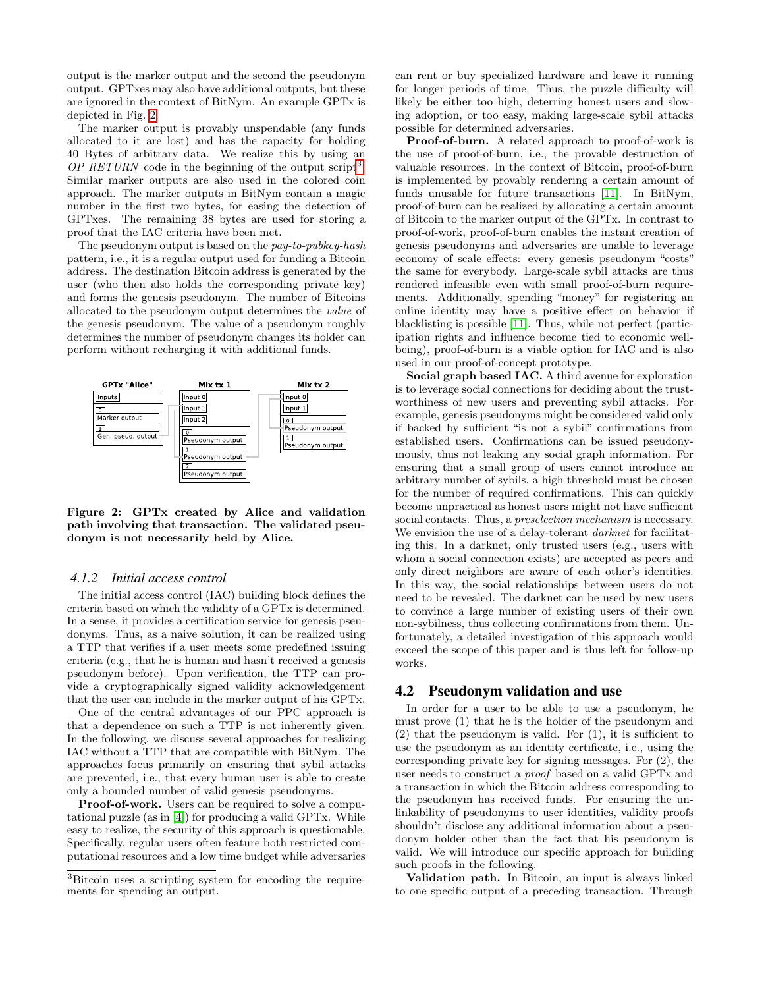output is the marker output and the second the pseudonym output. GPTxes may also have additional outputs, but these are ignored in the context of BitNym. An example GPTx is depicted in Fig. [2.](#page-3-0)

The marker output is provably unspendable (any funds allocated to it are lost) and has the capacity for holding 40 Bytes of arbitrary data. We realize this by using an  $OP\_RETURN$  code in the beginning of the output script<sup>[3](#page-3-1)</sup>. Similar marker outputs are also used in the colored coin approach. The marker outputs in BitNym contain a magic number in the first two bytes, for easing the detection of GPTxes. The remaining 38 bytes are used for storing a proof that the IAC criteria have been met.

The pseudonym output is based on the pay-to-pubkey-hash pattern, i.e., it is a regular output used for funding a Bitcoin address. The destination Bitcoin address is generated by the user (who then also holds the corresponding private key) and forms the genesis pseudonym. The number of Bitcoins allocated to the pseudonym output determines the value of the genesis pseudonym. The value of a pseudonym roughly determines the number of pseudonym changes its holder can perform without recharging it with additional funds.



<span id="page-3-0"></span>Figure 2: GPTx created by Alice and validation path involving that transaction. The validated pseudonym is not necessarily held by Alice.

### <span id="page-3-2"></span>*4.1.2 Initial access control*

The initial access control (IAC) building block defines the criteria based on which the validity of a GPTx is determined. In a sense, it provides a certification service for genesis pseudonyms. Thus, as a naive solution, it can be realized using a TTP that verifies if a user meets some predefined issuing criteria (e.g., that he is human and hasn't received a genesis pseudonym before). Upon verification, the TTP can provide a cryptographically signed validity acknowledgement that the user can include in the marker output of his GPTx.

One of the central advantages of our PPC approach is that a dependence on such a TTP is not inherently given. In the following, we discuss several approaches for realizing IAC without a TTP that are compatible with BitNym. The approaches focus primarily on ensuring that sybil attacks are prevented, i.e., that every human user is able to create only a bounded number of valid genesis pseudonyms.

Proof-of-work. Users can be required to solve a computational puzzle (as in [\[4\]](#page-9-6)) for producing a valid GPTx. While easy to realize, the security of this approach is questionable. Specifically, regular users often feature both restricted computational resources and a low time budget while adversaries can rent or buy specialized hardware and leave it running for longer periods of time. Thus, the puzzle difficulty will likely be either too high, deterring honest users and slowing adoption, or too easy, making large-scale sybil attacks possible for determined adversaries.

Proof-of-burn. A related approach to proof-of-work is the use of proof-of-burn, i.e., the provable destruction of valuable resources. In the context of Bitcoin, proof-of-burn is implemented by provably rendering a certain amount of funds unusable for future transactions [\[11\]](#page-9-9). In BitNym, proof-of-burn can be realized by allocating a certain amount of Bitcoin to the marker output of the GPTx. In contrast to proof-of-work, proof-of-burn enables the instant creation of genesis pseudonyms and adversaries are unable to leverage economy of scale effects: every genesis pseudonym "costs" the same for everybody. Large-scale sybil attacks are thus rendered infeasible even with small proof-of-burn requirements. Additionally, spending "money" for registering an online identity may have a positive effect on behavior if blacklisting is possible [\[11\]](#page-9-9). Thus, while not perfect (participation rights and influence become tied to economic wellbeing), proof-of-burn is a viable option for IAC and is also used in our proof-of-concept prototype.

Social graph based IAC. A third avenue for exploration is to leverage social connections for deciding about the trustworthiness of new users and preventing sybil attacks. For example, genesis pseudonyms might be considered valid only if backed by sufficient "is not a sybil" confirmations from established users. Confirmations can be issued pseudonymously, thus not leaking any social graph information. For ensuring that a small group of users cannot introduce an arbitrary number of sybils, a high threshold must be chosen for the number of required confirmations. This can quickly become unpractical as honest users might not have sufficient social contacts. Thus, a *preselection mechanism* is necessary. We envision the use of a delay-tolerant *darknet* for facilitating this. In a darknet, only trusted users (e.g., users with whom a social connection exists) are accepted as peers and only direct neighbors are aware of each other's identities. In this way, the social relationships between users do not need to be revealed. The darknet can be used by new users to convince a large number of existing users of their own non-sybilness, thus collecting confirmations from them. Unfortunately, a detailed investigation of this approach would exceed the scope of this paper and is thus left for follow-up works.

# <span id="page-3-3"></span>4.2 Pseudonym validation and use

In order for a user to be able to use a pseudonym, he must prove (1) that he is the holder of the pseudonym and  $(2)$  that the pseudonym is valid. For  $(1)$ , it is sufficient to use the pseudonym as an identity certificate, i.e., using the corresponding private key for signing messages. For (2), the user needs to construct a proof based on a valid GPTx and a transaction in which the Bitcoin address corresponding to the pseudonym has received funds. For ensuring the unlinkability of pseudonyms to user identities, validity proofs shouldn't disclose any additional information about a pseudonym holder other than the fact that his pseudonym is valid. We will introduce our specific approach for building such proofs in the following.

Validation path. In Bitcoin, an input is always linked to one specific output of a preceding transaction. Through

<span id="page-3-1"></span><sup>3</sup>Bitcoin uses a scripting system for encoding the requirements for spending an output.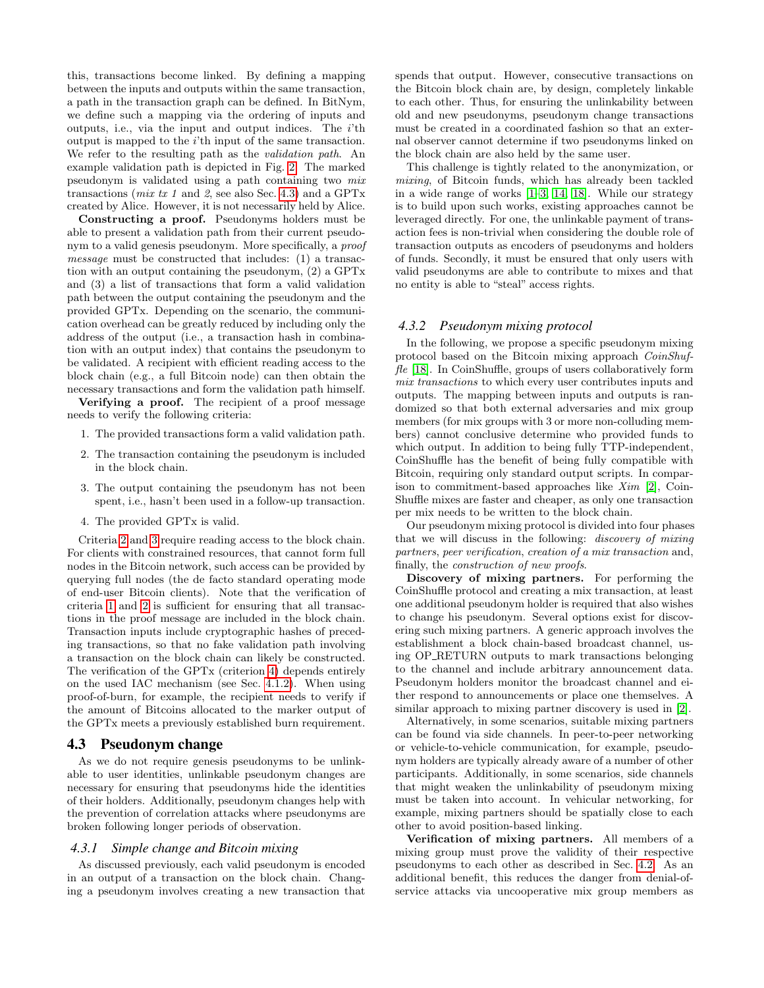this, transactions become linked. By defining a mapping between the inputs and outputs within the same transaction, a path in the transaction graph can be defined. In BitNym, we define such a mapping via the ordering of inputs and outputs, i.e., via the input and output indices. The  $i$ <sup>th</sup> output is mapped to the i'th input of the same transaction. We refer to the resulting path as the *validation path*. An example validation path is depicted in Fig. [2.](#page-3-0) The marked pseudonym is validated using a path containing two mix transactions (*mix tx 1* and 2, see also Sec. [4.3\)](#page-4-0) and a GPTx created by Alice. However, it is not necessarily held by Alice.

Constructing a proof. Pseudonyms holders must be able to present a validation path from their current pseudonym to a valid genesis pseudonym. More specifically, a proof message must be constructed that includes: (1) a transaction with an output containing the pseudonym, (2) a GPTx and (3) a list of transactions that form a valid validation path between the output containing the pseudonym and the provided GPTx. Depending on the scenario, the communication overhead can be greatly reduced by including only the address of the output (i.e., a transaction hash in combination with an output index) that contains the pseudonym to be validated. A recipient with efficient reading access to the block chain (e.g., a full Bitcoin node) can then obtain the necessary transactions and form the validation path himself.

Verifying a proof. The recipient of a proof message needs to verify the following criteria:

- <span id="page-4-3"></span>1. The provided transactions form a valid validation path.
- <span id="page-4-1"></span>2. The transaction containing the pseudonym is included in the block chain.
- <span id="page-4-2"></span>3. The output containing the pseudonym has not been spent, i.e., hasn't been used in a follow-up transaction.
- <span id="page-4-4"></span>4. The provided GPTx is valid.

Criteria [2](#page-4-1) and [3](#page-4-2) require reading access to the block chain. For clients with constrained resources, that cannot form full nodes in the Bitcoin network, such access can be provided by querying full nodes (the de facto standard operating mode of end-user Bitcoin clients). Note that the verification of criteria [1](#page-4-3) and [2](#page-4-1) is sufficient for ensuring that all transactions in the proof message are included in the block chain. Transaction inputs include cryptographic hashes of preceding transactions, so that no fake validation path involving a transaction on the block chain can likely be constructed. The verification of the GPTx (criterion [4\)](#page-4-4) depends entirely on the used IAC mechanism (see Sec. [4.1.2\)](#page-3-2). When using proof-of-burn, for example, the recipient needs to verify if the amount of Bitcoins allocated to the marker output of the GPTx meets a previously established burn requirement.

### <span id="page-4-0"></span>4.3 Pseudonym change

As we do not require genesis pseudonyms to be unlinkable to user identities, unlinkable pseudonym changes are necessary for ensuring that pseudonyms hide the identities of their holders. Additionally, pseudonym changes help with the prevention of correlation attacks where pseudonyms are broken following longer periods of observation.

### *4.3.1 Simple change and Bitcoin mixing*

As discussed previously, each valid pseudonym is encoded in an output of a transaction on the block chain. Changing a pseudonym involves creating a new transaction that spends that output. However, consecutive transactions on the Bitcoin block chain are, by design, completely linkable to each other. Thus, for ensuring the unlinkability between old and new pseudonyms, pseudonym change transactions must be created in a coordinated fashion so that an external observer cannot determine if two pseudonyms linked on the block chain are also held by the same user.

This challenge is tightly related to the anonymization, or mixing, of Bitcoin funds, which has already been tackled in a wide range of works [\[1–](#page-9-15)[3,](#page-9-16) [14,](#page-9-17) [18\]](#page-9-18). While our strategy is to build upon such works, existing approaches cannot be leveraged directly. For one, the unlinkable payment of transaction fees is non-trivial when considering the double role of transaction outputs as encoders of pseudonyms and holders of funds. Secondly, it must be ensured that only users with valid pseudonyms are able to contribute to mixes and that no entity is able to "steal" access rights.

#### *4.3.2 Pseudonym mixing protocol*

In the following, we propose a specific pseudonym mixing protocol based on the Bitcoin mixing approach CoinShuf $fle$  [\[18\]](#page-9-18). In CoinShuffle, groups of users collaboratively form mix transactions to which every user contributes inputs and outputs. The mapping between inputs and outputs is randomized so that both external adversaries and mix group members (for mix groups with 3 or more non-colluding members) cannot conclusive determine who provided funds to which output. In addition to being fully TTP-independent, CoinShuffle has the benefit of being fully compatible with Bitcoin, requiring only standard output scripts. In comparison to commitment-based approaches like Xim [\[2\]](#page-9-19), Coin-Shuffle mixes are faster and cheaper, as only one transaction per mix needs to be written to the block chain.

Our pseudonym mixing protocol is divided into four phases that we will discuss in the following: discovery of mixing partners, peer verification, creation of a mix transaction and, finally, the construction of new proofs.

Discovery of mixing partners. For performing the CoinShuffle protocol and creating a mix transaction, at least one additional pseudonym holder is required that also wishes to change his pseudonym. Several options exist for discovering such mixing partners. A generic approach involves the establishment a block chain-based broadcast channel, using OP RETURN outputs to mark transactions belonging to the channel and include arbitrary announcement data. Pseudonym holders monitor the broadcast channel and either respond to announcements or place one themselves. A similar approach to mixing partner discovery is used in [\[2\]](#page-9-19).

Alternatively, in some scenarios, suitable mixing partners can be found via side channels. In peer-to-peer networking or vehicle-to-vehicle communication, for example, pseudonym holders are typically already aware of a number of other participants. Additionally, in some scenarios, side channels that might weaken the unlinkability of pseudonym mixing must be taken into account. In vehicular networking, for example, mixing partners should be spatially close to each other to avoid position-based linking.

Verification of mixing partners. All members of a mixing group must prove the validity of their respective pseudonyms to each other as described in Sec. [4.2.](#page-3-3) As an additional benefit, this reduces the danger from denial-ofservice attacks via uncooperative mix group members as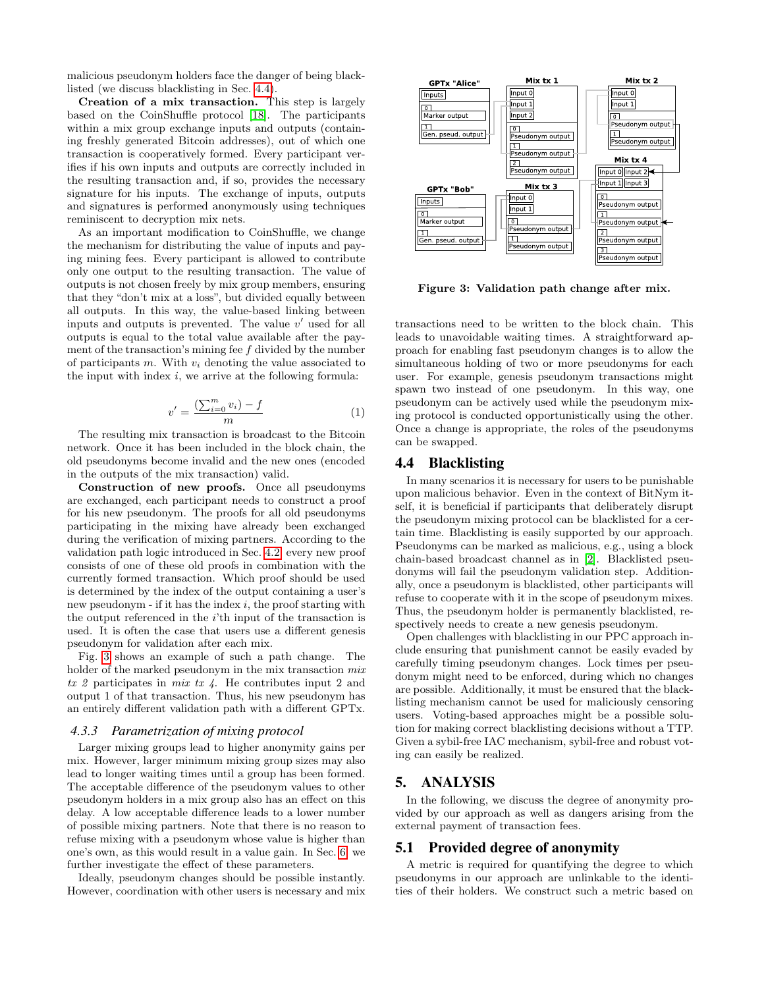malicious pseudonym holders face the danger of being blacklisted (we discuss blacklisting in Sec. [4.4\)](#page-5-0).

Creation of a mix transaction. This step is largely based on the CoinShuffle protocol [\[18\]](#page-9-18). The participants within a mix group exchange inputs and outputs (containing freshly generated Bitcoin addresses), out of which one transaction is cooperatively formed. Every participant verifies if his own inputs and outputs are correctly included in the resulting transaction and, if so, provides the necessary signature for his inputs. The exchange of inputs, outputs and signatures is performed anonymously using techniques reminiscent to decryption mix nets.

As an important modification to CoinShuffle, we change the mechanism for distributing the value of inputs and paying mining fees. Every participant is allowed to contribute only one output to the resulting transaction. The value of outputs is not chosen freely by mix group members, ensuring that they "don't mix at a loss", but divided equally between all outputs. In this way, the value-based linking between inputs and outputs is prevented. The value  $v'$  used for all outputs is equal to the total value available after the payment of the transaction's mining fee f divided by the number of participants  $m$ . With  $v_i$  denoting the value associated to the input with index  $i$ , we arrive at the following formula:

$$
v' = \frac{\left(\sum_{i=0}^{m} v_i\right) - f}{m} \tag{1}
$$

The resulting mix transaction is broadcast to the Bitcoin network. Once it has been included in the block chain, the old pseudonyms become invalid and the new ones (encoded in the outputs of the mix transaction) valid.

Construction of new proofs. Once all pseudonyms are exchanged, each participant needs to construct a proof for his new pseudonym. The proofs for all old pseudonyms participating in the mixing have already been exchanged during the verification of mixing partners. According to the validation path logic introduced in Sec. [4.2,](#page-3-3) every new proof consists of one of these old proofs in combination with the currently formed transaction. Which proof should be used is determined by the index of the output containing a user's new pseudonym - if it has the index  $i$ , the proof starting with the output referenced in the  $i$ 'th input of the transaction is used. It is often the case that users use a different genesis pseudonym for validation after each mix.

Fig. [3](#page-5-1) shows an example of such a path change. The holder of the marked pseudonym in the mix transaction  $mix$  $tx 2$  participates in  $mix tx 4$ . He contributes input 2 and output 1 of that transaction. Thus, his new pseudonym has an entirely different validation path with a different GPTx.

#### *4.3.3 Parametrization of mixing protocol*

Larger mixing groups lead to higher anonymity gains per mix. However, larger minimum mixing group sizes may also lead to longer waiting times until a group has been formed. The acceptable difference of the pseudonym values to other pseudonym holders in a mix group also has an effect on this delay. A low acceptable difference leads to a lower number of possible mixing partners. Note that there is no reason to refuse mixing with a pseudonym whose value is higher than one's own, as this would result in a value gain. In Sec. [6,](#page-6-0) we further investigate the effect of these parameters.

Ideally, pseudonym changes should be possible instantly. However, coordination with other users is necessary and mix



<span id="page-5-1"></span>Figure 3: Validation path change after mix.

transactions need to be written to the block chain. This leads to unavoidable waiting times. A straightforward approach for enabling fast pseudonym changes is to allow the simultaneous holding of two or more pseudonyms for each user. For example, genesis pseudonym transactions might spawn two instead of one pseudonym. In this way, one pseudonym can be actively used while the pseudonym mixing protocol is conducted opportunistically using the other. Once a change is appropriate, the roles of the pseudonyms can be swapped.

# <span id="page-5-0"></span>4.4 Blacklisting

In many scenarios it is necessary for users to be punishable upon malicious behavior. Even in the context of BitNym itself, it is beneficial if participants that deliberately disrupt the pseudonym mixing protocol can be blacklisted for a certain time. Blacklisting is easily supported by our approach. Pseudonyms can be marked as malicious, e.g., using a block chain-based broadcast channel as in [\[2\]](#page-9-19). Blacklisted pseudonyms will fail the pseudonym validation step. Additionally, once a pseudonym is blacklisted, other participants will refuse to cooperate with it in the scope of pseudonym mixes. Thus, the pseudonym holder is permanently blacklisted, respectively needs to create a new genesis pseudonym.

Open challenges with blacklisting in our PPC approach include ensuring that punishment cannot be easily evaded by carefully timing pseudonym changes. Lock times per pseudonym might need to be enforced, during which no changes are possible. Additionally, it must be ensured that the blacklisting mechanism cannot be used for maliciously censoring users. Voting-based approaches might be a possible solution for making correct blacklisting decisions without a TTP. Given a sybil-free IAC mechanism, sybil-free and robust voting can easily be realized.

# 5. ANALYSIS

In the following, we discuss the degree of anonymity provided by our approach as well as dangers arising from the external payment of transaction fees.

# 5.1 Provided degree of anonymity

A metric is required for quantifying the degree to which pseudonyms in our approach are unlinkable to the identities of their holders. We construct such a metric based on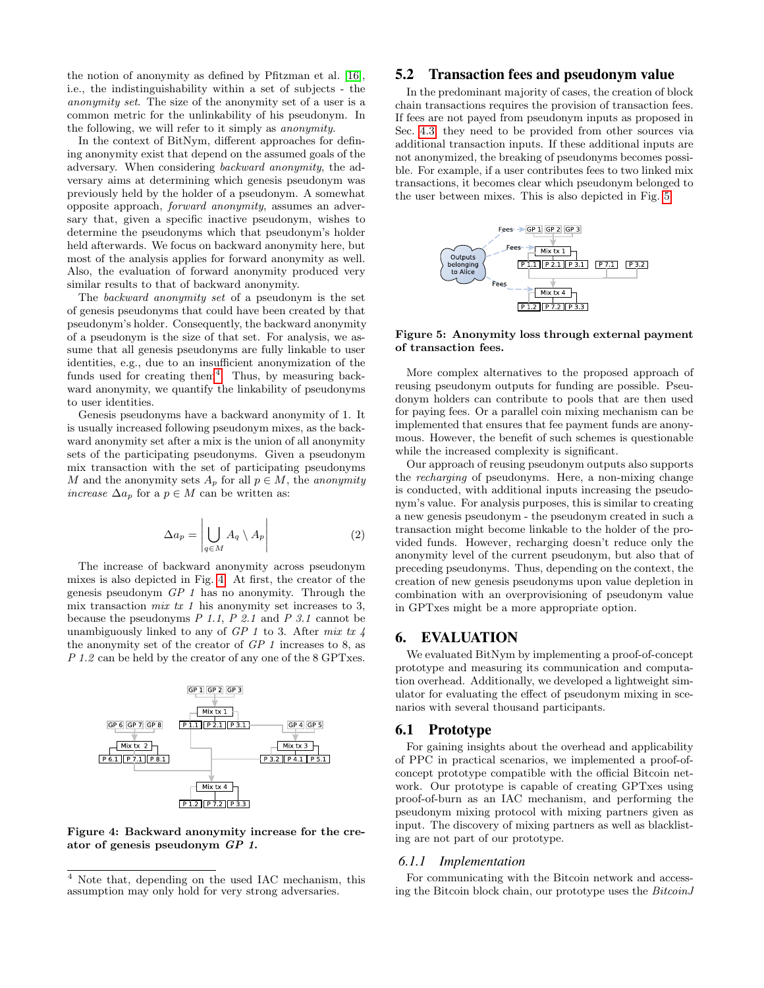the notion of anonymity as defined by Pfitzman et al. [\[16\]](#page-9-11), i.e., the indistinguishability within a set of subjects - the anonymity set. The size of the anonymity set of a user is a common metric for the unlinkability of his pseudonym. In the following, we will refer to it simply as anonymity.

In the context of BitNym, different approaches for defining anonymity exist that depend on the assumed goals of the adversary. When considering backward anonymity, the adversary aims at determining which genesis pseudonym was previously held by the holder of a pseudonym. A somewhat opposite approach, forward anonymity, assumes an adversary that, given a specific inactive pseudonym, wishes to determine the pseudonyms which that pseudonym's holder held afterwards. We focus on backward anonymity here, but most of the analysis applies for forward anonymity as well. Also, the evaluation of forward anonymity produced very similar results to that of backward anonymity.

The backward anonymity set of a pseudonym is the set of genesis pseudonyms that could have been created by that pseudonym's holder. Consequently, the backward anonymity of a pseudonym is the size of that set. For analysis, we assume that all genesis pseudonyms are fully linkable to user identities, e.g., due to an insufficient anonymization of the funds used for creating them<sup>[4](#page-6-1)</sup>. Thus, by measuring backward anonymity, we quantify the linkability of pseudonyms to user identities.

Genesis pseudonyms have a backward anonymity of 1. It is usually increased following pseudonym mixes, as the backward anonymity set after a mix is the union of all anonymity sets of the participating pseudonyms. Given a pseudonym mix transaction with the set of participating pseudonyms M and the anonymity sets  $A_p$  for all  $p \in M$ , the anonymity *increase*  $\Delta a_p$  for a  $p \in M$  can be written as:

$$
\Delta a_p = \left| \bigcup_{q \in M} A_q \setminus A_p \right| \tag{2}
$$

The increase of backward anonymity across pseudonym mixes is also depicted in Fig. [4.](#page-6-2) At first, the creator of the genesis pseudonym GP 1 has no anonymity. Through the mix transaction *mix tx 1* his anonymity set increases to 3, because the pseudonyms  $P$  1.1,  $P$  2.1 and  $P$  3.1 cannot be unambiguously linked to any of  $GP 1$  to 3. After mix tx 4 the anonymity set of the creator of  $GP 1$  increases to 8, as P 1.2 can be held by the creator of any one of the 8 GPTxes.



<span id="page-6-2"></span>Figure 4: Backward anonymity increase for the creator of genesis pseudonym GP 1.

# 5.2 Transaction fees and pseudonym value

In the predominant majority of cases, the creation of block chain transactions requires the provision of transaction fees. If fees are not payed from pseudonym inputs as proposed in Sec. [4.3,](#page-4-0) they need to be provided from other sources via additional transaction inputs. If these additional inputs are not anonymized, the breaking of pseudonyms becomes possible. For example, if a user contributes fees to two linked mix transactions, it becomes clear which pseudonym belonged to the user between mixes. This is also depicted in Fig. [5.](#page-6-3)



<span id="page-6-3"></span>Figure 5: Anonymity loss through external payment of transaction fees.

More complex alternatives to the proposed approach of reusing pseudonym outputs for funding are possible. Pseudonym holders can contribute to pools that are then used for paying fees. Or a parallel coin mixing mechanism can be implemented that ensures that fee payment funds are anonymous. However, the benefit of such schemes is questionable while the increased complexity is significant.

Our approach of reusing pseudonym outputs also supports the recharging of pseudonyms. Here, a non-mixing change is conducted, with additional inputs increasing the pseudonym's value. For analysis purposes, this is similar to creating a new genesis pseudonym - the pseudonym created in such a transaction might become linkable to the holder of the provided funds. However, recharging doesn't reduce only the anonymity level of the current pseudonym, but also that of preceding pseudonyms. Thus, depending on the context, the creation of new genesis pseudonyms upon value depletion in combination with an overprovisioning of pseudonym value in GPTxes might be a more appropriate option.

# <span id="page-6-0"></span>6. EVALUATION

We evaluated BitNym by implementing a proof-of-concept prototype and measuring its communication and computation overhead. Additionally, we developed a lightweight simulator for evaluating the effect of pseudonym mixing in scenarios with several thousand participants.

### 6.1 Prototype

For gaining insights about the overhead and applicability of PPC in practical scenarios, we implemented a proof-ofconcept prototype compatible with the official Bitcoin network. Our prototype is capable of creating GPTxes using proof-of-burn as an IAC mechanism, and performing the pseudonym mixing protocol with mixing partners given as input. The discovery of mixing partners as well as blacklisting are not part of our prototype.

#### <span id="page-6-4"></span>*6.1.1 Implementation*

For communicating with the Bitcoin network and accessing the Bitcoin block chain, our prototype uses the BitcoinJ

<span id="page-6-1"></span> $\frac{4}{4}$  Note that, depending on the used IAC mechanism, this assumption may only hold for very strong adversaries.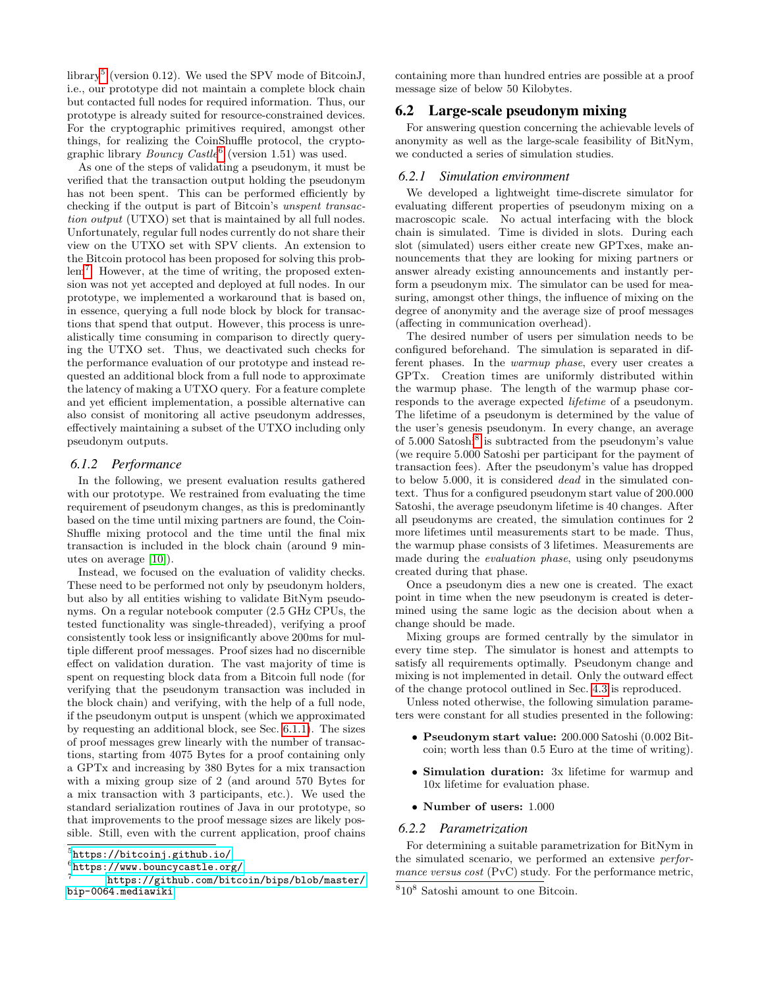library<sup>[5](#page-7-0)</sup> (version 0.12). We used the SPV mode of BitcoinJ, i.e., our prototype did not maintain a complete block chain but contacted full nodes for required information. Thus, our prototype is already suited for resource-constrained devices. For the cryptographic primitives required, amongst other things, for realizing the CoinShuffle protocol, the cryptographic library  $Bouncy$  Castle<sup>[6](#page-7-1)</sup> (version 1.51) was used.

As one of the steps of validating a pseudonym, it must be verified that the transaction output holding the pseudonym has not been spent. This can be performed efficiently by checking if the output is part of Bitcoin's unspent transaction output (UTXO) set that is maintained by all full nodes. Unfortunately, regular full nodes currently do not share their view on the UTXO set with SPV clients. An extension to the Bitcoin protocol has been proposed for solving this prob-lem<sup>[7](#page-7-2)</sup>. However, at the time of writing, the proposed extension was not yet accepted and deployed at full nodes. In our prototype, we implemented a workaround that is based on, in essence, querying a full node block by block for transactions that spend that output. However, this process is unrealistically time consuming in comparison to directly querying the UTXO set. Thus, we deactivated such checks for the performance evaluation of our prototype and instead requested an additional block from a full node to approximate the latency of making a UTXO query. For a feature complete and yet efficient implementation, a possible alternative can also consist of monitoring all active pseudonym addresses, effectively maintaining a subset of the UTXO including only pseudonym outputs.

### *6.1.2 Performance*

In the following, we present evaluation results gathered with our prototype. We restrained from evaluating the time requirement of pseudonym changes, as this is predominantly based on the time until mixing partners are found, the Coin-Shuffle mixing protocol and the time until the final mix transaction is included in the block chain (around 9 minutes on average [\[10\]](#page-9-10)).

Instead, we focused on the evaluation of validity checks. These need to be performed not only by pseudonym holders, but also by all entities wishing to validate BitNym pseudonyms. On a regular notebook computer (2.5 GHz CPUs, the tested functionality was single-threaded), verifying a proof consistently took less or insignificantly above 200ms for multiple different proof messages. Proof sizes had no discernible effect on validation duration. The vast majority of time is spent on requesting block data from a Bitcoin full node (for verifying that the pseudonym transaction was included in the block chain) and verifying, with the help of a full node, if the pseudonym output is unspent (which we approximated by requesting an additional block, see Sec. [6.1.1\)](#page-6-4). The sizes of proof messages grew linearly with the number of transactions, starting from 4075 Bytes for a proof containing only a GPTx and increasing by 380 Bytes for a mix transaction with a mixing group size of 2 (and around 570 Bytes for a mix transaction with 3 participants, etc.). We used the standard serialization routines of Java in our prototype, so that improvements to the proof message sizes are likely possible. Still, even with the current application, proof chains

<span id="page-7-1"></span>6 <https://www.bouncycastle.org/>

containing more than hundred entries are possible at a proof message size of below 50 Kilobytes.

# 6.2 Large-scale pseudonym mixing

For answering question concerning the achievable levels of anonymity as well as the large-scale feasibility of BitNym, we conducted a series of simulation studies.

#### *6.2.1 Simulation environment*

We developed a lightweight time-discrete simulator for evaluating different properties of pseudonym mixing on a macroscopic scale. No actual interfacing with the block chain is simulated. Time is divided in slots. During each slot (simulated) users either create new GPTxes, make announcements that they are looking for mixing partners or answer already existing announcements and instantly perform a pseudonym mix. The simulator can be used for measuring, amongst other things, the influence of mixing on the degree of anonymity and the average size of proof messages (affecting in communication overhead).

The desired number of users per simulation needs to be configured beforehand. The simulation is separated in different phases. In the warmup phase, every user creates a GPTx. Creation times are uniformly distributed within the warmup phase. The length of the warmup phase corresponds to the average expected lifetime of a pseudonym. The lifetime of a pseudonym is determined by the value of the user's genesis pseudonym. In every change, an average of 5.000 Satoshi<sup>[8](#page-7-3)</sup> is subtracted from the pseudonym's value (we require 5.000 Satoshi per participant for the payment of transaction fees). After the pseudonym's value has dropped to below 5.000, it is considered dead in the simulated context. Thus for a configured pseudonym start value of 200.000 Satoshi, the average pseudonym lifetime is 40 changes. After all pseudonyms are created, the simulation continues for 2 more lifetimes until measurements start to be made. Thus, the warmup phase consists of 3 lifetimes. Measurements are made during the evaluation phase, using only pseudonyms created during that phase.

Once a pseudonym dies a new one is created. The exact point in time when the new pseudonym is created is determined using the same logic as the decision about when a change should be made.

Mixing groups are formed centrally by the simulator in every time step. The simulator is honest and attempts to satisfy all requirements optimally. Pseudonym change and mixing is not implemented in detail. Only the outward effect of the change protocol outlined in Sec. [4.3](#page-4-0) is reproduced.

Unless noted otherwise, the following simulation parameters were constant for all studies presented in the following:

- Pseudonym start value: 200.000 Satoshi (0.002 Bitcoin; worth less than 0.5 Euro at the time of writing).
- Simulation duration: 3x lifetime for warmup and 10x lifetime for evaluation phase.
- Number of users: 1.000

# <span id="page-7-4"></span>*6.2.2 Parametrization*

For determining a suitable parametrization for BitNym in the simulated scenario, we performed an extensive performance versus cost (PvC) study. For the performance metric,

<span id="page-7-0"></span><sup>5</sup> <https://bitcoinj.github.io/>

<span id="page-7-2"></span><sup>7</sup> [https://github.com/bitcoin/bips/blob/master/](https://github.com/bitcoin/bips/blob/master/bip-0064.mediawiki) [bip-0064.mediawiki](https://github.com/bitcoin/bips/blob/master/bip-0064.mediawiki)

<span id="page-7-3"></span><sup>8</sup> 10<sup>8</sup> Satoshi amount to one Bitcoin.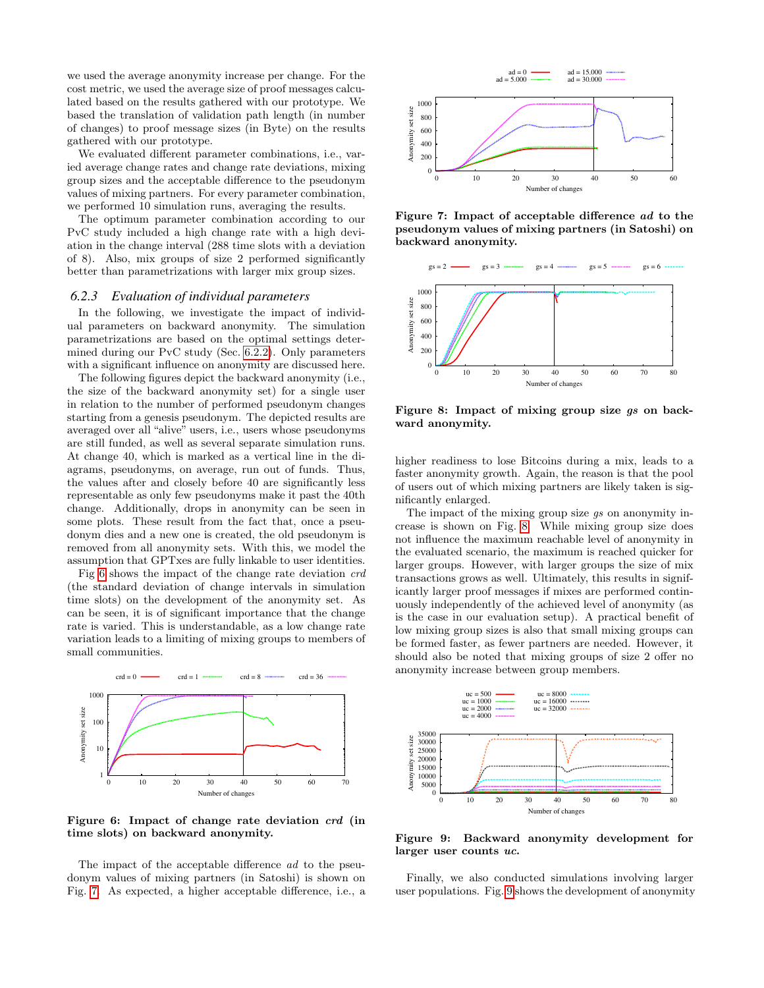we used the average anonymity increase per change. For the cost metric, we used the average size of proof messages calculated based on the results gathered with our prototype. We based the translation of validation path length (in number of changes) to proof message sizes (in Byte) on the results gathered with our prototype.

We evaluated different parameter combinations, i.e., varied average change rates and change rate deviations, mixing group sizes and the acceptable difference to the pseudonym values of mixing partners. For every parameter combination, we performed 10 simulation runs, averaging the results.

The optimum parameter combination according to our PvC study included a high change rate with a high deviation in the change interval (288 time slots with a deviation of 8). Also, mix groups of size 2 performed significantly better than parametrizations with larger mix group sizes.

### *6.2.3 Evaluation of individual parameters*

In the following, we investigate the impact of individual parameters on backward anonymity. The simulation parametrizations are based on the optimal settings determined during our PvC study (Sec. [6.2.2\)](#page-7-4). Only parameters with a significant influence on anonymity are discussed here.

The following figures depict the backward anonymity (i.e., the size of the backward anonymity set) for a single user in relation to the number of performed pseudonym changes starting from a genesis pseudonym. The depicted results are averaged over all "alive" users, i.e., users whose pseudonyms are still funded, as well as several separate simulation runs. At change 40, which is marked as a vertical line in the diagrams, pseudonyms, on average, run out of funds. Thus, the values after and closely before 40 are significantly less representable as only few pseudonyms make it past the 40th change. Additionally, drops in anonymity can be seen in some plots. These result from the fact that, once a pseudonym dies and a new one is created, the old pseudonym is removed from all anonymity sets. With this, we model the assumption that GPTxes are fully linkable to user identities.

Fig [6](#page-8-0) shows the impact of the change rate deviation crd (the standard deviation of change intervals in simulation time slots) on the development of the anonymity set. As can be seen, it is of significant importance that the change rate is varied. This is understandable, as a low change rate variation leads to a limiting of mixing groups to members of small communities.



<span id="page-8-0"></span>Figure 6: Impact of change rate deviation crd (in time slots) on backward anonymity.

The impact of the acceptable difference ad to the pseudonym values of mixing partners (in Satoshi) is shown on Fig. [7.](#page-8-1) As expected, a higher acceptable difference, i.e., a



<span id="page-8-1"></span>Figure 7: Impact of acceptable difference ad to the pseudonym values of mixing partners (in Satoshi) on backward anonymity.



<span id="page-8-2"></span>Figure 8: Impact of mixing group size gs on backward anonymity.

higher readiness to lose Bitcoins during a mix, leads to a faster anonymity growth. Again, the reason is that the pool of users out of which mixing partners are likely taken is significantly enlarged.

The impact of the mixing group size gs on anonymity increase is shown on Fig. [8.](#page-8-2) While mixing group size does not influence the maximum reachable level of anonymity in the evaluated scenario, the maximum is reached quicker for larger groups. However, with larger groups the size of mix transactions grows as well. Ultimately, this results in significantly larger proof messages if mixes are performed continuously independently of the achieved level of anonymity (as is the case in our evaluation setup). A practical benefit of low mixing group sizes is also that small mixing groups can be formed faster, as fewer partners are needed. However, it should also be noted that mixing groups of size 2 offer no anonymity increase between group members.



<span id="page-8-3"></span>Figure 9: Backward anonymity development for larger user counts uc.

Finally, we also conducted simulations involving larger user populations. Fig. [9](#page-8-3) shows the development of anonymity